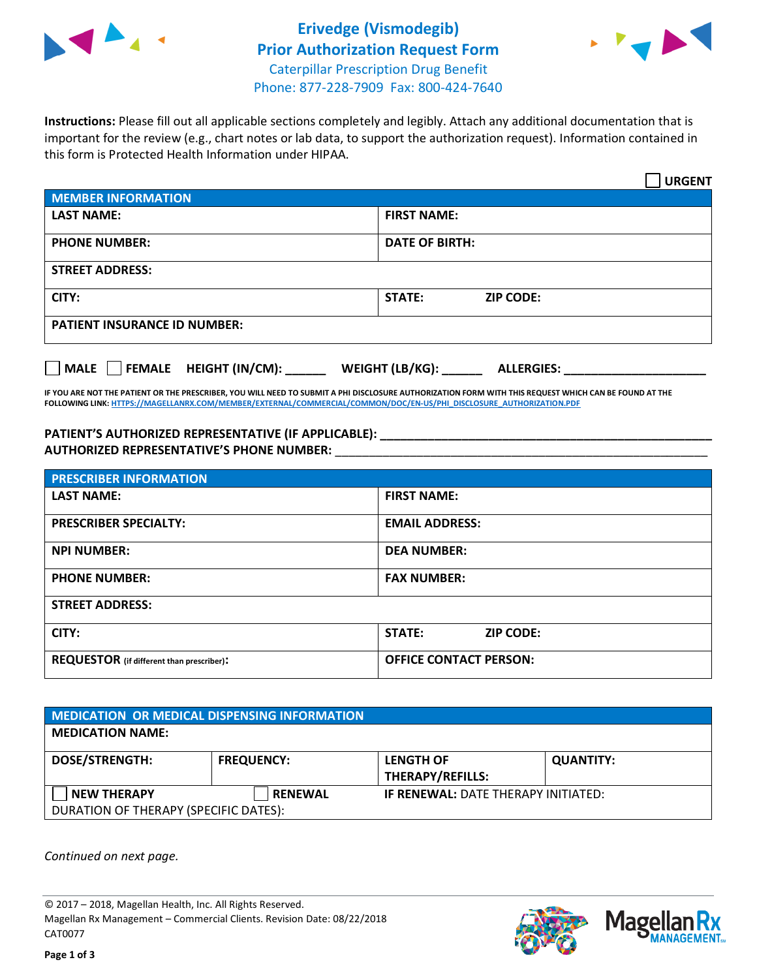



**Instructions:** Please fill out all applicable sections completely and legibly. Attach any additional documentation that is important for the review (e.g., chart notes or lab data, to support the authorization request). Information contained in this form is Protected Health Information under HIPAA.

|                                       | <b>URGENT</b>                        |  |  |  |
|---------------------------------------|--------------------------------------|--|--|--|
| <b>MEMBER INFORMATION</b>             |                                      |  |  |  |
| <b>LAST NAME:</b>                     | <b>FIRST NAME:</b>                   |  |  |  |
| <b>PHONE NUMBER:</b>                  | <b>DATE OF BIRTH:</b>                |  |  |  |
| <b>STREET ADDRESS:</b>                |                                      |  |  |  |
| CITY:                                 | <b>STATE:</b><br><b>ZIP CODE:</b>    |  |  |  |
| <b>PATIENT INSURANCE ID NUMBER:</b>   |                                      |  |  |  |
| FEMALE HEIGHT (IN/CM):<br><b>MALE</b> | WEIGHT (LB/KG):<br><b>ALLERGIES:</b> |  |  |  |

**IF YOU ARE NOT THE PATIENT OR THE PRESCRIBER, YOU WILL NEED TO SUBMIT A PHI DISCLOSURE AUTHORIZATION FORM WITH THIS REQUEST WHICH CAN BE FOUND AT THE FOLLOWING LINK[: HTTPS://MAGELLANRX.COM/MEMBER/EXTERNAL/COMMERCIAL/COMMON/DOC/EN-US/PHI\\_DISCLOSURE\\_AUTHORIZATION.PDF](https://magellanrx.com/member/external/commercial/common/doc/en-us/PHI_Disclosure_Authorization.pdf)**

**PATIENT'S AUTHORIZED REPRESENTATIVE (IF APPLICABLE): \_\_\_\_\_\_\_\_\_\_\_\_\_\_\_\_\_\_\_\_\_\_\_\_\_\_\_\_\_\_\_\_\_\_\_\_\_\_\_\_\_\_\_\_\_\_\_\_\_ AUTHORIZED REPRESENTATIVE'S PHONE NUMBER:** \_\_\_\_\_\_\_\_\_\_\_\_\_\_\_\_\_\_\_\_\_\_\_\_\_\_\_\_\_\_\_\_\_\_\_\_\_\_\_\_\_\_\_\_\_\_\_\_\_\_\_\_\_\_\_

| <b>PRESCRIBER INFORMATION</b>             |                               |  |  |  |
|-------------------------------------------|-------------------------------|--|--|--|
| <b>LAST NAME:</b>                         | <b>FIRST NAME:</b>            |  |  |  |
| <b>PRESCRIBER SPECIALTY:</b>              | <b>EMAIL ADDRESS:</b>         |  |  |  |
| <b>NPI NUMBER:</b>                        | <b>DEA NUMBER:</b>            |  |  |  |
| <b>PHONE NUMBER:</b>                      | <b>FAX NUMBER:</b>            |  |  |  |
| <b>STREET ADDRESS:</b>                    |                               |  |  |  |
| CITY:                                     | STATE:<br><b>ZIP CODE:</b>    |  |  |  |
| REQUESTOR (if different than prescriber): | <b>OFFICE CONTACT PERSON:</b> |  |  |  |

| <b>MEDICATION OR MEDICAL DISPENSING INFORMATION</b> |                   |                                            |                  |  |  |
|-----------------------------------------------------|-------------------|--------------------------------------------|------------------|--|--|
| <b>MEDICATION NAME:</b>                             |                   |                                            |                  |  |  |
| <b>DOSE/STRENGTH:</b>                               | <b>FREQUENCY:</b> | <b>LENGTH OF</b>                           | <b>QUANTITY:</b> |  |  |
|                                                     |                   | <b>THERAPY/REFILLS:</b>                    |                  |  |  |
| <b>NEW THERAPY</b>                                  | <b>RENEWAL</b>    | <b>IF RENEWAL: DATE THERAPY INITIATED:</b> |                  |  |  |
| DURATION OF THERAPY (SPECIFIC DATES):               |                   |                                            |                  |  |  |

*Continued on next page.*

© 2017 – 2018, Magellan Health, Inc. All Rights Reserved. Magellan Rx Management – Commercial Clients. Revision Date: 08/22/2018 CAT0077



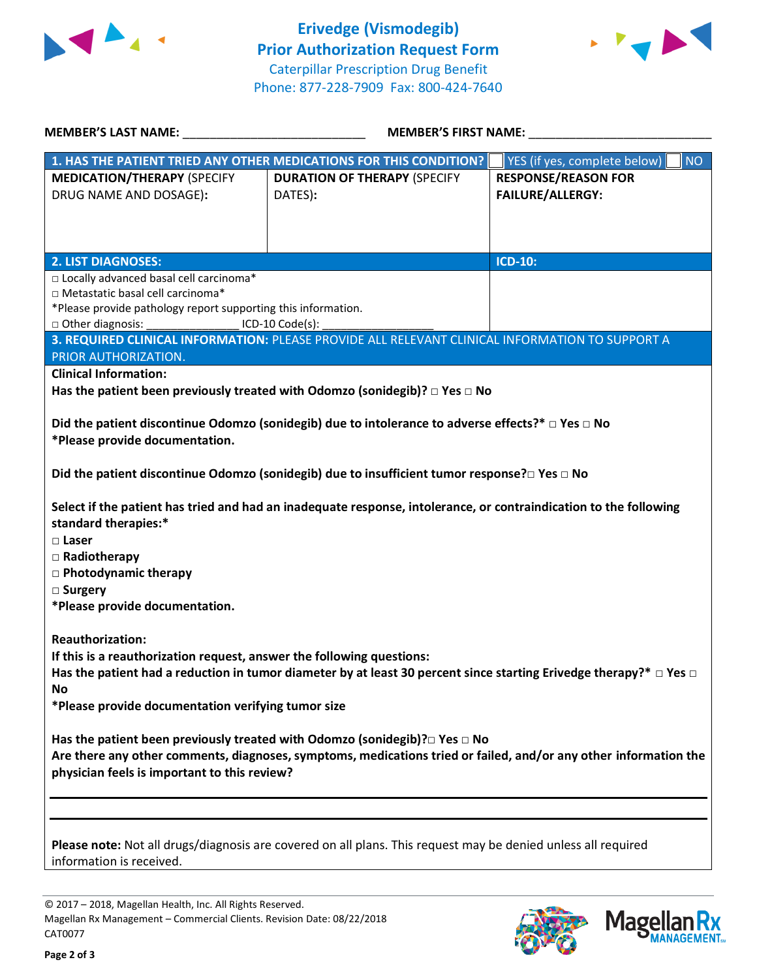



| <b>MEMBER'S LAST NAME:</b> NAME                                                                                                                                                                                                                                                                                                                                                                                                                                                                                                                                 | <b>MEMBER'S FIRST NAME:</b>                                                                     |                                                       |  |  |
|-----------------------------------------------------------------------------------------------------------------------------------------------------------------------------------------------------------------------------------------------------------------------------------------------------------------------------------------------------------------------------------------------------------------------------------------------------------------------------------------------------------------------------------------------------------------|-------------------------------------------------------------------------------------------------|-------------------------------------------------------|--|--|
|                                                                                                                                                                                                                                                                                                                                                                                                                                                                                                                                                                 | 1. HAS THE PATIENT TRIED ANY OTHER MEDICATIONS FOR THIS CONDITION?                              | YES (if yes, complete below)<br>NO                    |  |  |
| <b>MEDICATION/THERAPY (SPECIFY</b><br>DRUG NAME AND DOSAGE):                                                                                                                                                                                                                                                                                                                                                                                                                                                                                                    | <b>DURATION OF THERAPY (SPECIFY</b><br>DATES):                                                  | <b>RESPONSE/REASON FOR</b><br><b>FAILURE/ALLERGY:</b> |  |  |
| <b>2. LIST DIAGNOSES:</b>                                                                                                                                                                                                                                                                                                                                                                                                                                                                                                                                       |                                                                                                 | <b>ICD-10:</b>                                        |  |  |
| □ Locally advanced basal cell carcinoma*<br>□ Metastatic basal cell carcinoma*<br>*Please provide pathology report supporting this information.<br>□ Other diagnosis: ___________________ ICD-10 Code(s):<br>PRIOR AUTHORIZATION.                                                                                                                                                                                                                                                                                                                               | 3. REQUIRED CLINICAL INFORMATION: PLEASE PROVIDE ALL RELEVANT CLINICAL INFORMATION TO SUPPORT A |                                                       |  |  |
| <b>Clinical Information:</b>                                                                                                                                                                                                                                                                                                                                                                                                                                                                                                                                    |                                                                                                 |                                                       |  |  |
|                                                                                                                                                                                                                                                                                                                                                                                                                                                                                                                                                                 | Has the patient been previously treated with Odomzo (sonidegib)? $\Box$ Yes $\Box$ No           |                                                       |  |  |
| Did the patient discontinue Odomzo (sonidegib) due to intolerance to adverse effects?* $\Box$ Yes $\Box$ No<br>*Please provide documentation.<br>Did the patient discontinue Odomzo (sonidegib) due to insufficient tumor response?□ Yes □ No<br>Select if the patient has tried and had an inadequate response, intolerance, or contraindication to the following<br>standard therapies:*<br>$\square$ Laser<br>$\Box$ Radiotherapy<br>□ Photodynamic therapy<br>□ Surgery<br>*Please provide documentation.                                                   |                                                                                                 |                                                       |  |  |
| <b>Reauthorization:</b><br>If this is a reauthorization request, answer the following questions:<br>Has the patient had a reduction in tumor diameter by at least 30 percent since starting Erivedge therapy?* $\Box$ Yes $\Box$<br>No<br>*Please provide documentation verifying tumor size<br>Has the patient been previously treated with Odomzo (sonidegib)? $\square$ Yes $\square$ No<br>Are there any other comments, diagnoses, symptoms, medications tried or failed, and/or any other information the<br>physician feels is important to this review? |                                                                                                 |                                                       |  |  |
| Please note: Not all drugs/diagnosis are covered on all plans. This request may be denied unless all required                                                                                                                                                                                                                                                                                                                                                                                                                                                   |                                                                                                 |                                                       |  |  |

information is received.

© 2017 – 2018, Magellan Health, Inc. All Rights Reserved. Magellan Rx Management – Commercial Clients. Revision Date: 08/22/2018 CAT0077